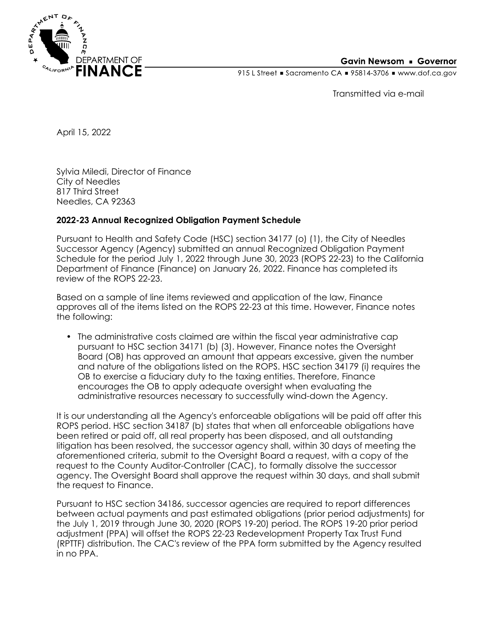

## **Gavin Newsom • Governor**

915 L Street Gacramento CA = 95814-3706 Www.dof.ca.gov

Transmitted via e-mail

April 15, 2022

Sylvia Miledi, Director of Finance City of Needles 817 Third Street Needles, CA 92363

## **2022-23 Annual Recognized Obligation Payment Schedule**

Pursuant to Health and Safety Code (HSC) section 34177 (o) (1), the City of Needles Successor Agency (Agency) submitted an annual Recognized Obligation Payment Schedule for the period July 1, 2022 through June 30, 2023 (ROPS 22-23) to the California Department of Finance (Finance) on January 26, 2022. Finance has completed its review of the ROPS 22-23.

Based on a sample of line items reviewed and application of the law, Finance approves all of the items listed on the ROPS 22-23 at this time. However, Finance notes the following:

• The administrative costs claimed are within the fiscal year administrative cap pursuant to HSC section 34171 (b) (3). However, Finance notes the Oversight Board (OB) has approved an amount that appears excessive, given the number and nature of the obligations listed on the ROPS. HSC section 34179 (i) requires the OB to exercise a fiduciary duty to the taxing entities. Therefore, Finance encourages the OB to apply adequate oversight when evaluating the administrative resources necessary to successfully wind-down the Agency.

It is our understanding all the Agency's enforceable obligations will be paid off after this ROPS period. HSC section 34187 (b) states that when all enforceable obligations have been retired or paid off, all real property has been disposed, and all outstanding litigation has been resolved, the successor agency shall, within 30 days of meeting the aforementioned criteria, submit to the Oversight Board a request, with a copy of the request to the County Auditor-Controller (CAC), to formally dissolve the successor agency. The Oversight Board shall approve the request within 30 days, and shall submit the request to Finance.

Pursuant to HSC section 34186, successor agencies are required to report differences between actual payments and past estimated obligations (prior period adjustments) for the July 1, 2019 through June 30, 2020 (ROPS 19-20) period. The ROPS 19-20 prior period adjustment (PPA) will offset the ROPS 22-23 Redevelopment Property Tax Trust Fund (RPTTF) distribution. The CAC's review of the PPA form submitted by the Agency resulted in no PPA.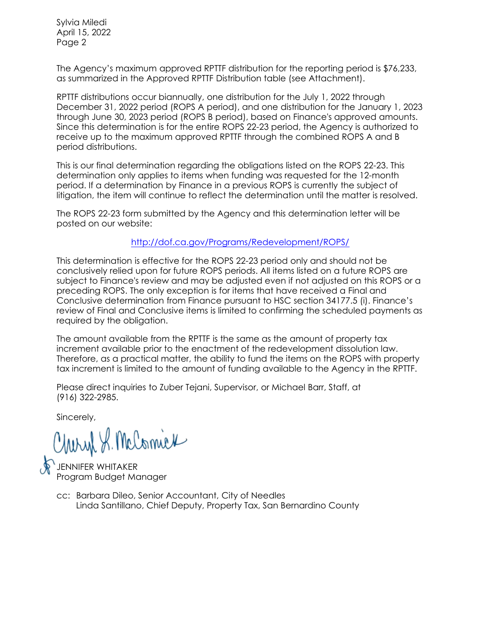Sylvia Miledi April 15, 2022 Page 2

The Agency's maximum approved RPTTF distribution for the reporting period is \$76,233, as summarized in the Approved RPTTF Distribution table (see Attachment).

RPTTF distributions occur biannually, one distribution for the July 1, 2022 through December 31, 2022 period (ROPS A period), and one distribution for the January 1, 2023 through June 30, 2023 period (ROPS B period), based on Finance's approved amounts. Since this determination is for the entire ROPS 22-23 period, the Agency is authorized to receive up to the maximum approved RPTTF through the combined ROPS A and B period distributions.

This is our final determination regarding the obligations listed on the ROPS 22-23. This determination only applies to items when funding was requested for the 12-month period. If a determination by Finance in a previous ROPS is currently the subject of litigation, the item will continue to reflect the determination until the matter is resolved.

The ROPS 22-23 form submitted by the Agency and this determination letter will be posted on our website:

<http://dof.ca.gov/Programs/Redevelopment/ROPS/>

This determination is effective for the ROPS 22-23 period only and should not be conclusively relied upon for future ROPS periods. All items listed on a future ROPS are subject to Finance's review and may be adjusted even if not adjusted on this ROPS or a preceding ROPS. The only exception is for items that have received a Final and Conclusive determination from Finance pursuant to HSC section 34177.5 (i). Finance's review of Final and Conclusive items is limited to confirming the scheduled payments as required by the obligation.

The amount available from the RPTTF is the same as the amount of property tax increment available prior to the enactment of the redevelopment dissolution law. Therefore, as a practical matter, the ability to fund the items on the ROPS with property tax increment is limited to the amount of funding available to the Agency in the RPTTF.

Please direct inquiries to Zuber Tejani, Supervisor, or Michael Barr, Staff, at (916) 322-2985.

Sincerely,

Charyl S. McComick

ENNIFER WHITAKER Program Budget Manager

Linda Santillano, Chief Deputy, Property Tax, San Bernardino County cc: Barbara Dileo, Senior Accountant, City of Needles